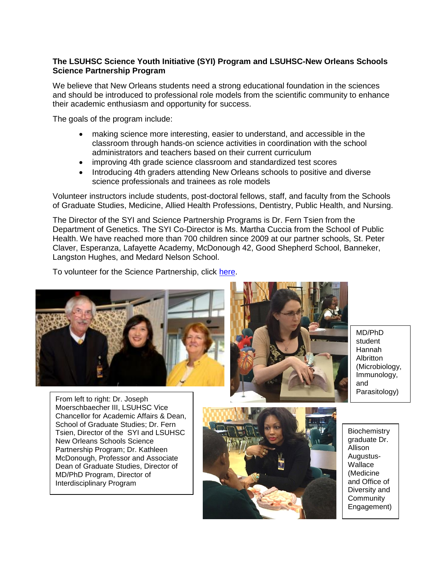## **The LSUHSC Science Youth Initiative (SYI) Program and LSUHSC-New Orleans Schools Science Partnership Program**

We believe that New Orleans students need a strong educational foundation in the sciences and should be introduced to professional role models from the scientific community to enhance their academic enthusiasm and opportunity for success.

The goals of the program include:

- making science more interesting, easier to understand, and accessible in the classroom through hands-on science activities in coordination with the school administrators and teachers based on their current curriculum
- improving 4th grade science classroom and standardized test scores
- Introducing 4th graders attending New Orleans schools to positive and diverse science professionals and trainees as role models

Volunteer instructors include students, post-doctoral fellows, staff, and faculty from the Schools of Graduate Studies, Medicine, Allied Health Professions, Dentistry, Public Health, and Nursing.

The Director of the SYI and Science Partnership Programs is Dr. Fern Tsien from the Department of Genetics. The SYI Co-Director is Ms. Martha Cuccia from the School of Public Health. We have reached more than 700 children since 2009 at our partner schools, St. Peter Claver, Esperanza, Lafayette Academy, McDonough 42, Good Shepherd School, Banneker, Langston Hughes, and Medard Nelson School.

To volunteer for the Science Partnership, click [here.](https://docs.google.com/spreadsheets/d/1KXoHVpD9OB5ruzmWSxo4y7JPVQ9aGOBepWlVO8MC_Sg/edit#gid=0)





MD/PhD student Hannah Albritton (Microbiology, Immunology, and Parasitology)

Moerschbaecher III, LSUHSC Vice McDonough, Professor and Associate MD/PhD Program, Director of From left to right: Dr. Joseph Chancellor for Academic Affairs & Dean, School of Graduate Studies; Dr. Fern Tsien, Director of the SYI and LSUHSC New Orleans Schools Science Partnership Program; Dr. Kathleen Dean of Graduate Studies, Director of Interdisciplinary Program



**Biochemistry** graduate Dr. Allison Augustus-**Wallace** (Medicine and Office of Diversity and **Community** Engagement)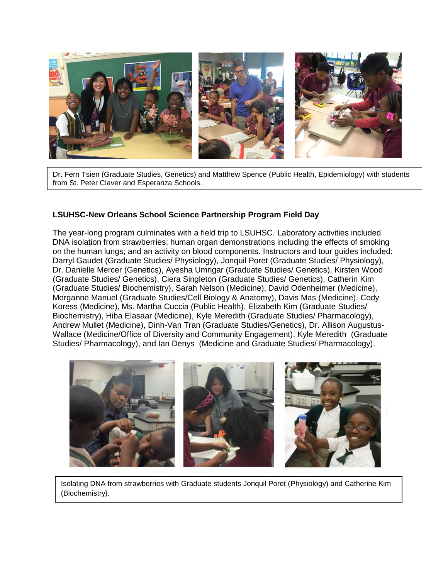

Dr. Fern Tsien (Graduate Studies, Genetics) and Matthew Spence (Public Health, Epidemiology) with students from St. Peter Claver and Esperanza Schools.

## **LSUHSC-New Orleans School Science Partnership Program Field Day**

The year-long program culminates with a field trip to LSUHSC. Laboratory activities included DNA isolation from strawberries; human organ demonstrations including the effects of smoking on the human lungs; and an activity on blood components. Instructors and tour guides included: Darryl Gaudet (Graduate Studies/ Physiology), Jonquil Poret (Graduate Studies/ Physiology), Dr. Danielle Mercer (Genetics), Ayesha Umrigar (Graduate Studies/ Genetics), Kirsten Wood (Graduate Studies/ Genetics), Ciera Singleton (Graduate Studies/ Genetics), Catherin Kim (Graduate Studies/ Biochemistry), Sarah Nelson (Medicine), David Odenheimer (Medicine), Morganne Manuel (Graduate Studies/Cell Biology & Anatomy), Davis Mas (Medicine), Cody Koress (Medicine), Ms. Martha Cuccia (Public Health), Elizabeth Kim (Graduate Studies/ Biochemistry), Hiba Elasaar (Medicine), Kyle Meredith (Graduate Studies/ Pharmacology), Andrew Mullet (Medicine), Dinh-Van Tran (Graduate Studies/Genetics), Dr. Allison Augustus-Wallace (Medicine/Office of Diversity and Community Engagement), Kyle Meredith (Graduate Studies/ Pharmacology), and Ian Denys (Medicine and Graduate Studies/ Pharmacology).



Isolating DNA from strawberries with Graduate students Jonquil Poret (Physiology) and Catherine Kim (Biochemistry).